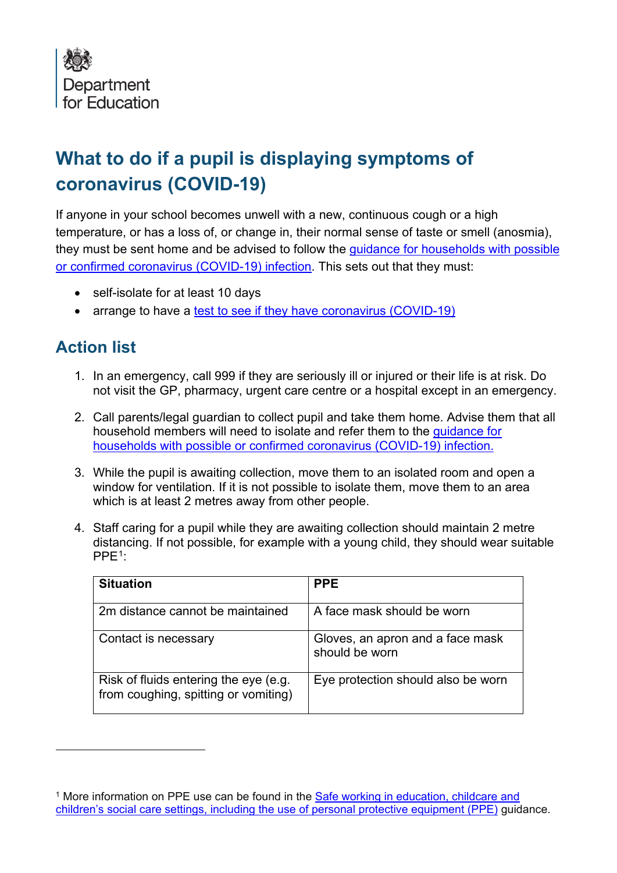

## **What to do if a pupil is displaying symptoms of coronavirus (COVID-19)**

If anyone in your school becomes unwell with a new, continuous cough or a high temperature, or has a loss of, or change in, their normal sense of taste or smell (anosmia), they must be sent home and be advised to follow the [guidance for households with possible](https://www.gov.uk/government/publications/covid-19-stay-at-home-guidance)  [or confirmed coronavirus \(COVID-19\) infection.](https://www.gov.uk/government/publications/covid-19-stay-at-home-guidance) This sets out that they must:

- self-isolate for at least 10 days
- arrange to have a [test to see if they have coronavirus \(COVID-19\)](https://www.gov.uk/guidance/coronavirus-covid-19-getting-tested)

## **Action list**

- 1. In an emergency, call 999 if they are seriously ill or injured or their life is at risk. Do not visit the GP, pharmacy, urgent care centre or a hospital except in an emergency.
- 2. Call parents/legal guardian to collect pupil and take them home. Advise them that all household members will need to isolate and refer them to the [guidance for](https://www.gov.uk/government/publications/covid-19-stay-at-home-guidance)  [households with possible or confirmed coronavirus \(COVID-19\) infection.](https://www.gov.uk/government/publications/covid-19-stay-at-home-guidance)
- 3. While the pupil is awaiting collection, move them to an isolated room and open a window for ventilation. If it is not possible to isolate them, move them to an area which is at least 2 metres away from other people.
- 4. Staff caring for a pupil while they are awaiting collection should maintain 2 metre distancing. If not possible, for example with a young child, they should wear suitable  $PPE<sup>1</sup>$ :

| <b>Situation</b>                                                              | <b>PPE</b>                                         |
|-------------------------------------------------------------------------------|----------------------------------------------------|
| 2m distance cannot be maintained                                              | A face mask should be worn                         |
| Contact is necessary                                                          | Gloves, an apron and a face mask<br>should be worn |
| Risk of fluids entering the eye (e.g.<br>from coughing, spitting or vomiting) | Eye protection should also be worn                 |

<span id="page-0-0"></span><sup>&</sup>lt;sup>1</sup> More information on PPE use can be found in the Safe working in education, childcare and [children's social care settings, including the use of personal protective equipment \(PPE\)](https://www.gov.uk/government/publications/safe-working-in-education-childcare-and-childrens-social-care/safe-working-in-education-childcare-and-childrens-social-care-settings-including-the-use-of-personal-protective-equipment-ppe) guidance.